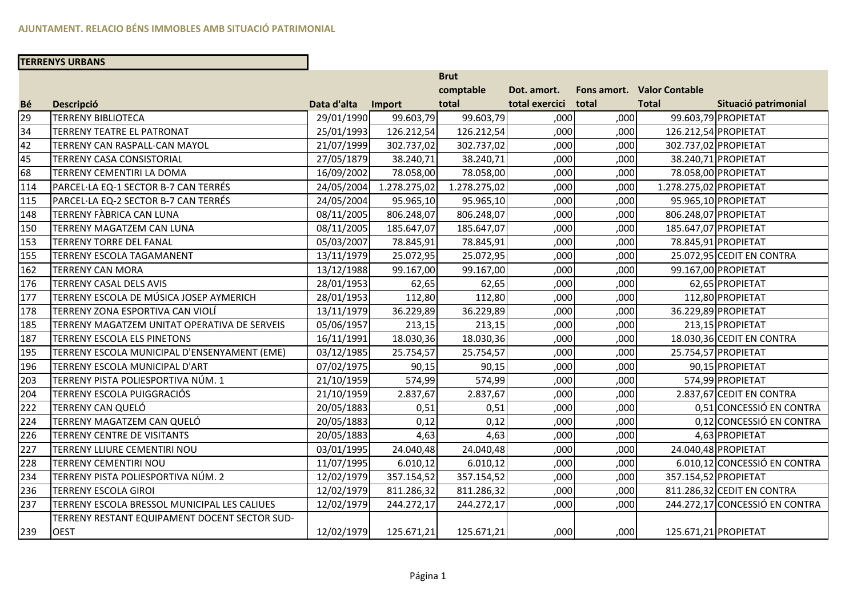# **TERRENYS URBANS**

|           |                                               |             |              | <b>Brut</b>  |                |       |                            |                                |
|-----------|-----------------------------------------------|-------------|--------------|--------------|----------------|-------|----------------------------|--------------------------------|
|           |                                               |             |              | comptable    | Dot. amort.    |       | Fons amort. Valor Contable |                                |
| <b>Bé</b> | <b>Descripció</b>                             | Data d'alta | Import       | total        | total exercici | total | <b>Total</b>               | Situació patrimonial           |
| 29        | <b>TERRENY BIBLIOTECA</b>                     | 29/01/1990  | 99.603,79    | 99.603,79    | ,000           | ,000  |                            | 99.603,79 PROPIETAT            |
| 34        | <b>TERRENY TEATRE EL PATRONAT</b>             | 25/01/1993  | 126.212,54   | 126.212,54   | ,000           | ,000  |                            | 126.212,54 PROPIETAT           |
| 42        | TERRENY CAN RASPALL-CAN MAYOL                 | 21/07/1999  | 302.737,02   | 302.737,02   | ,000           | ,000  |                            | 302.737,02 PROPIETAT           |
| 45        | TERRENY CASA CONSISTORIAL                     | 27/05/1879  | 38.240,71    | 38.240,71    | ,000           | ,000  |                            | 38.240,71 PROPIETAT            |
| 68        | TERRENY CEMENTIRI LA DOMA                     | 16/09/2002  | 78.058,00    | 78.058,00    | ,000           | ,000  |                            | 78.058,00 PROPIETAT            |
| 114       | PARCEL·LA EQ-1 SECTOR B-7 CAN TERRÉS          | 24/05/2004  | 1.278.275,02 | 1.278.275,02 | ,000           | ,000  | 1.278.275,02 PROPIETAT     |                                |
| 115       | PARCEL·LA EQ-2 SECTOR B-7 CAN TERRÉS          | 24/05/2004  | 95.965,10    | 95.965,10    | ,000           | ,000  |                            | 95.965,10 PROPIETAT            |
| 148       | TERRENY FÀBRICA CAN LUNA                      | 08/11/2005  | 806.248,07   | 806.248,07   | ,000           | ,000  |                            | 806.248,07 PROPIETAT           |
| 150       | TERRENY MAGATZEM CAN LUNA                     | 08/11/2005  | 185.647,07   | 185.647,07   | ,000           | ,000  |                            | 185.647,07 PROPIETAT           |
| 153       | <b>TERRENY TORRE DEL FANAL</b>                | 05/03/2007  | 78.845,91    | 78.845,91    | ,000           | ,000  |                            | 78.845,91 PROPIETAT            |
| 155       | TERRENY ESCOLA TAGAMANENT                     | 13/11/1979  | 25.072,95    | 25.072,95    | ,000           | ,000  |                            | 25.072,95 CEDIT EN CONTRA      |
| 162       | <b>TERRENY CAN MORA</b>                       | 13/12/1988  | 99.167,00    | 99.167,00    | ,000           | ,000  |                            | 99.167,00 PROPIETAT            |
| 176       | <b>TERRENY CASAL DELS AVIS</b>                | 28/01/1953  | 62,65        | 62,65        | ,000           | ,000  |                            | 62,65 PROPIETAT                |
| 177       | TERRENY ESCOLA DE MÚSICA JOSEP AYMERICH       | 28/01/1953  | 112,80       | 112,80       | ,000           | ,000  |                            | 112,80 PROPIETAT               |
| 178       | TERRENY ZONA ESPORTIVA CAN VIOLÍ              | 13/11/1979  | 36.229,89    | 36.229,89    | ,000           | ,000  |                            | 36.229,89 PROPIETAT            |
| 185       | TERRENY MAGATZEM UNITAT OPERATIVA DE SERVEIS  | 05/06/1957  | 213,15       | 213,15       | ,000           | ,000  |                            | 213,15 PROPIETAT               |
| 187       | TERRENY ESCOLA ELS PINETONS                   | 16/11/1991  | 18.030,36    | 18.030,36    | ,000           | ,000  |                            | 18.030,36 CEDIT EN CONTRA      |
| 195       | TERRENY ESCOLA MUNICIPAL D'ENSENYAMENT (EME)  | 03/12/1985  | 25.754,57    | 25.754,57    | ,000           | ,000  |                            | 25.754,57 PROPIETAT            |
| 196       | TERRENY ESCOLA MUNICIPAL D'ART                | 07/02/1975  | 90,15        | 90,15        | ,000           | ,000  |                            | 90,15 PROPIETAT                |
| 203       | TERRENY PISTA POLIESPORTIVA NÚM. 1            | 21/10/1959  | 574,99       | 574,99       | ,000           | ,000  |                            | 574,99 PROPIETAT               |
| 204       | TERRENY ESCOLA PUIGGRACIÓS                    | 21/10/1959  | 2.837,67     | 2.837,67     | ,000           | ,000  |                            | 2.837,67 CEDIT EN CONTRA       |
| 222       | TERRENY CAN QUELÓ                             | 20/05/1883  | 0,51         | 0,51         | ,000           | ,000  |                            | 0,51 CONCESSIÓ EN CONTRA       |
| 224       | TERRENY MAGATZEM CAN QUELÓ                    | 20/05/1883  | 0,12         | 0,12         | ,000           | ,000  |                            | 0,12 CONCESSIÓ EN CONTRA       |
| 226       | <b>TERRENY CENTRE DE VISITANTS</b>            | 20/05/1883  | 4,63         | 4,63         | ,000           | ,000  |                            | 4,63 PROPIETAT                 |
| 227       | TERRENY LLIURE CEMENTIRI NOU                  | 03/01/1995  | 24.040,48    | 24.040,48    | ,000           | ,000  |                            | 24.040,48 PROPIETAT            |
| 228       | <b>TERRENY CEMENTIRI NOU</b>                  | 11/07/1995  | 6.010,12     | 6.010,12     | ,000           | ,000  |                            | 6.010,12 CONCESSIÓ EN CONTRA   |
| 234       | TERRENY PISTA POLIESPORTIVA NÚM. 2            | 12/02/1979  | 357.154,52   | 357.154,52   | ,000           | ,000  |                            | 357.154,52 PROPIETAT           |
| 236       | <b>TERRENY ESCOLA GIROI</b>                   | 12/02/1979  | 811.286,32   | 811.286,32   | ,000           | ,000  |                            | 811.286,32 CEDIT EN CONTRA     |
| 237       | TERRENY ESCOLA BRESSOL MUNICIPAL LES CALIUES  | 12/02/1979  | 244.272,17   | 244.272,17   | ,000           | ,000  |                            | 244.272,17 CONCESSIÓ EN CONTRA |
|           | TERRENY RESTANT EQUIPAMENT DOCENT SECTOR SUD- |             |              |              |                |       |                            |                                |
| 239       | <b>OEST</b>                                   | 12/02/1979  | 125.671,21   | 125.671,21   | ,000           | ,000  |                            | 125.671,21 PROPIETAT           |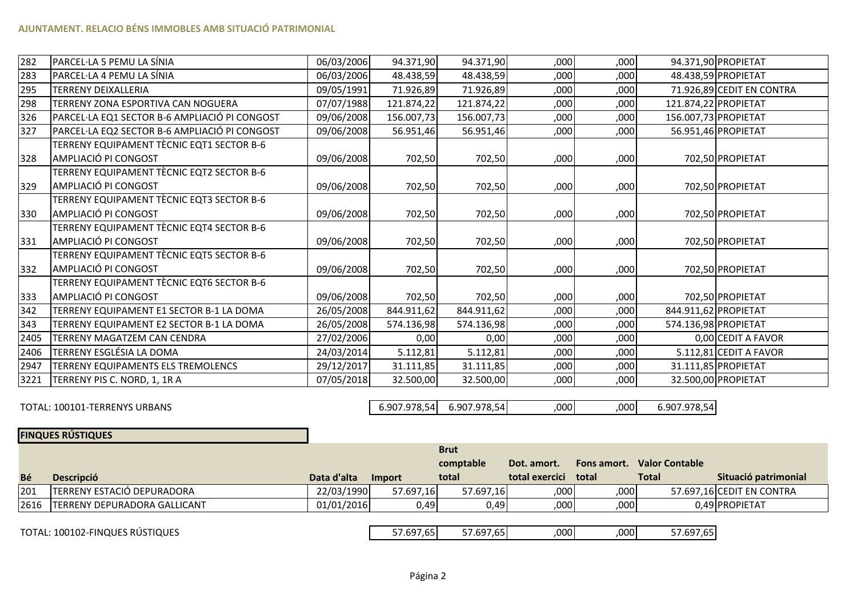| 282  | PARCEL·LA 5 PEMU LA SÍNIA                     | 06/03/2006 | 94.371,90  | 94.371,90  | ,000 | ,000 | 94.371,90 PROPIETAT       |
|------|-----------------------------------------------|------------|------------|------------|------|------|---------------------------|
| 283  | PARCEL·LA 4 PEMU LA SÍNIA                     | 06/03/2006 | 48.438,59  | 48.438,59  | ,000 | ,000 | 48.438,59 PROPIETAT       |
| 295  | <b>TERRENY DEIXALLERIA</b>                    | 09/05/1991 | 71.926,89  | 71.926,89  | ,000 | ,000 | 71.926,89 CEDIT EN CONTRA |
| 298  | TERRENY ZONA ESPORTIVA CAN NOGUERA            | 07/07/1988 | 121.874,22 | 121.874,22 | ,000 | ,000 | 121.874,22 PROPIETAT      |
| 326  | PARCEL·LA EQ1 SECTOR B-6 AMPLIACIÓ PI CONGOST | 09/06/2008 | 156.007,73 | 156.007,73 | ,000 | ,000 | 156.007,73 PROPIETAT      |
| 327  | PARCEL·LA EQ2 SECTOR B-6 AMPLIACIÓ PI CONGOST | 09/06/2008 | 56.951,46  | 56.951,46  | ,000 | ,000 | 56.951,46 PROPIETAT       |
|      | TERRENY EQUIPAMENT TÈCNIC EQT1 SECTOR B-6     |            |            |            |      |      |                           |
| 328  | AMPLIACIÓ PI CONGOST                          | 09/06/2008 | 702,50     | 702,50     | ,000 | ,000 | 702,50 PROPIETAT          |
|      | TERRENY EQUIPAMENT TÈCNIC EQT2 SECTOR B-6     |            |            |            |      |      |                           |
| 329  | AMPLIACIÓ PI CONGOST                          | 09/06/2008 | 702,50     | 702,50     | ,000 | ,000 | 702,50 PROPIETAT          |
|      | TERRENY EQUIPAMENT TÈCNIC EQT3 SECTOR B-6     |            |            |            |      |      |                           |
| 330  | AMPLIACIÓ PI CONGOST                          | 09/06/2008 | 702,50     | 702,50     | ,000 | ,000 | 702,50 PROPIETAT          |
|      | TERRENY EQUIPAMENT TÈCNIC EQT4 SECTOR B-6     |            |            |            |      |      |                           |
| 331  | AMPLIACIÓ PI CONGOST                          | 09/06/2008 | 702,50     | 702,50     | ,000 | ,000 | 702,50 PROPIETAT          |
|      | TERRENY EQUIPAMENT TÈCNIC EQT5 SECTOR B-6     |            |            |            |      |      |                           |
| 332  | AMPLIACIÓ PI CONGOST                          | 09/06/2008 | 702,50     | 702,50     | ,000 | ,000 | 702,50 PROPIETAT          |
|      | TERRENY EQUIPAMENT TÈCNIC EQT6 SECTOR B-6     |            |            |            |      |      |                           |
| 333  | AMPLIACIÓ PI CONGOST                          | 09/06/2008 | 702,50     | 702,50     | ,000 | ,000 | 702,50 PROPIETAT          |
| 342  | TERRENY EQUIPAMENT E1 SECTOR B-1 LA DOMA      | 26/05/2008 | 844.911,62 | 844.911,62 | ,000 | ,000 | 844.911,62 PROPIETAT      |
| 343  | TERRENY EQUIPAMENT E2 SECTOR B-1 LA DOMA      | 26/05/2008 | 574.136,98 | 574.136,98 | ,000 | ,000 | 574.136,98 PROPIETAT      |
| 2405 | TERRENY MAGATZEM CAN CENDRA                   | 27/02/2006 | 0,00       | 0,00       | ,000 | ,000 | 0,00 CEDIT A FAVOR        |
| 2406 | TERRENY ESGLÉSIA LA DOMA                      | 24/03/2014 | 5.112,81   | 5.112,81   | ,000 | ,000 | 5.112,81 CEDIT A FAVOR    |
| 2947 | TERRENY EQUIPAMENTS ELS TREMOLENCS            | 29/12/2017 | 31.111,85  | 31.111,85  | ,000 | ,000 | 31.111,85 PROPIETAT       |
| 3221 | TERRENY PIS C. NORD, 1, 1R A                  | 07/05/2018 | 32.500,00  | 32.500,00  | ,000 | ,000 | 32.500,00 PROPIETAT       |

TOTAL: 100101-TERRENYS URBANS

 6.907.978,546.907.978,54 ,<sup>000</sup> ,<sup>000</sup> 6.907.978,54

**FINQUES RÚSTIQUES**

|     |                                     |             |           | <b>Brut</b>            |                      |             |                       |                           |  |
|-----|-------------------------------------|-------------|-----------|------------------------|----------------------|-------------|-----------------------|---------------------------|--|
|     |                                     |             |           | comptable              | Dot. amort.          | Fons amort. | <b>Valor Contable</b> |                           |  |
| Bé  | <b>Descripció</b>                   | Data d'alta | Import    | total                  | total exercici total |             | <b>Total</b>          | Situació patrimonial      |  |
| 201 | TERRENY ESTACIÓ DEPURADORA          | 22/03/1990  | 57.697,16 | 57.697.16              | 000                  | ,000        |                       | 57.697,16 CEDIT EN CONTRA |  |
|     | 2616   TERRENY DEPURADORA GALLICANT | 01/01/2016  | 0,49      | 0,49                   | ,000                 | ,000        |                       | 0.49 PROPIETAT            |  |
|     |                                     |             |           |                        |                      |             |                       |                           |  |
|     | TOTAL: 100102-FINQUES RÚSTIQUES     |             |           | 57.697,65<br>57.697,65 | ,000                 | .000        | 57.697,65             |                           |  |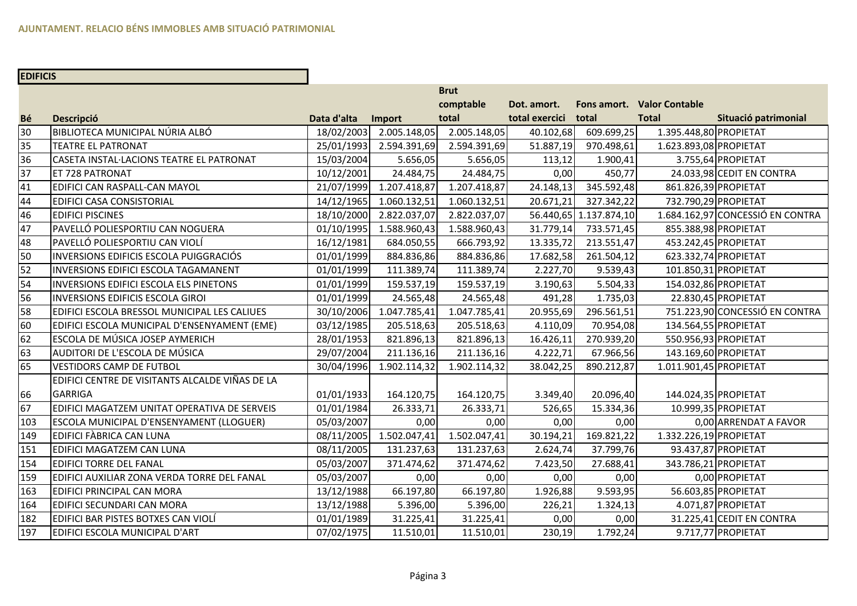# **EDIFICIS**

|                 |                                                 |             |              | <b>Brut</b>  |                |                        |                            |                                  |
|-----------------|-------------------------------------------------|-------------|--------------|--------------|----------------|------------------------|----------------------------|----------------------------------|
|                 |                                                 |             |              | comptable    | Dot. amort.    |                        | Fons amort. Valor Contable |                                  |
| Bé              | <b>Descripció</b>                               | Data d'alta | Import       | total        | total exercici | total                  | <b>Total</b>               | Situació patrimonial             |
| 30              | BIBLIOTECA MUNICIPAL NÚRIA ALBÓ                 | 18/02/2003  | 2.005.148,05 | 2.005.148,05 | 40.102,68      | 609.699,25             | 1.395.448,80 PROPIETAT     |                                  |
| 35              | <b>TEATRE EL PATRONAT</b>                       | 25/01/1993  | 2.594.391,69 | 2.594.391,69 | 51.887,19      | 970.498,61             | 1.623.893,08 PROPIETAT     |                                  |
| 36              | CASETA INSTAL·LACIONS TEATRE EL PATRONAT        | 15/03/2004  | 5.656,05     | 5.656,05     | 113,12         | 1.900,41               |                            | 3.755,64 PROPIETAT               |
| $\overline{37}$ | ET 728 PATRONAT                                 | 10/12/2001  | 24.484,75    | 24.484,75    | 0,00           | 450,77                 |                            | 24.033,98 CEDIT EN CONTRA        |
| 41              | EDIFICI CAN RASPALL-CAN MAYOL                   | 21/07/1999  | 1.207.418,87 | 1.207.418,87 | 24.148,13      | 345.592,48             | 861.826,39 PROPIETAT       |                                  |
| 44              | <b>EDIFICI CASA CONSISTORIAL</b>                | 14/12/1965  | 1.060.132,51 | 1.060.132,51 | 20.671,21      | 327.342,22             | 732.790,29 PROPIETAT       |                                  |
| 46              | <b>EDIFICI PISCINES</b>                         | 18/10/2000  | 2.822.037,07 | 2.822.037,07 |                | 56.440,65 1.137.874,10 |                            | 1.684.162,97 CONCESSIÓ EN CONTRA |
| 47              | PAVELLÓ POLIESPORTIU CAN NOGUERA                | 01/10/1995  | 1.588.960,43 | 1.588.960,43 | 31.779,14      | 733.571,45             | 855.388,98 PROPIETAT       |                                  |
| 48              | PAVELLÓ POLIESPORTIU CAN VIOLÍ                  | 16/12/1981  | 684.050,55   | 666.793,92   | 13.335,72      | 213.551,47             | 453.242,45 PROPIETAT       |                                  |
| 50              | INVERSIONS EDIFICIS ESCOLA PUIGGRACIÓS          | 01/01/1999  | 884.836,86   | 884.836,86   | 17.682,58      | 261.504,12             |                            | 623.332,74 PROPIETAT             |
| 52              | <b>INVERSIONS EDIFICI ESCOLA TAGAMANENT</b>     | 01/01/1999  | 111.389,74   | 111.389,74   | 2.227,70       | 9.539,43               | 101.850,31 PROPIETAT       |                                  |
| 54              | INVERSIONS EDIFICI ESCOLA ELS PINETONS          | 01/01/1999  | 159.537,19   | 159.537,19   | 3.190,63       | 5.504,33               | 154.032,86 PROPIETAT       |                                  |
| 56              | <b>INVERSIONS EDIFICIS ESCOLA GIROI</b>         | 01/01/1999  | 24.565,48    | 24.565,48    | 491,28         | 1.735,03               |                            | 22.830,45 PROPIETAT              |
| 58              | EDIFICI ESCOLA BRESSOL MUNICIPAL LES CALIUES    | 30/10/2006  | 1.047.785,41 | 1.047.785,41 | 20.955,69      | 296.561,51             |                            | 751.223,90 CONCESSIÓ EN CONTRA   |
| 60              | EDIFICI ESCOLA MUNICIPAL D'ENSENYAMENT (EME)    | 03/12/1985  | 205.518,63   | 205.518,63   | 4.110,09       | 70.954,08              | 134.564,55 PROPIETAT       |                                  |
| 62              | <b>ESCOLA DE MÚSICA JOSEP AYMERICH</b>          | 28/01/1953  | 821.896,13   | 821.896,13   | 16.426,11      | 270.939,20             | 550.956,93 PROPIETAT       |                                  |
| 63              | AUDITORI DE L'ESCOLA DE MÚSICA                  | 29/07/2004  | 211.136,16   | 211.136,16   | 4.222,71       | 67.966,56              | 143.169,60 PROPIETAT       |                                  |
| 65              | <b>VESTIDORS CAMP DE FUTBOL</b>                 | 30/04/1996  | 1.902.114,32 | 1.902.114,32 | 38.042,25      | 890.212,87             | 1.011.901,45 PROPIETAT     |                                  |
|                 | EDIFICI CENTRE DE VISITANTS ALCALDE VIÑAS DE LA |             |              |              |                |                        |                            |                                  |
| 66              | <b>GARRIGA</b>                                  | 01/01/1933  | 164.120,75   | 164.120,75   | 3.349,40       | 20.096,40              | 144.024,35 PROPIETAT       |                                  |
| 67              | EDIFICI MAGATZEM UNITAT OPERATIVA DE SERVEIS    | 01/01/1984  | 26.333,71    | 26.333,71    | 526,65         | 15.334,36              |                            | 10.999,35 PROPIETAT              |
| 103             | ESCOLA MUNICIPAL D'ENSENYAMENT (LLOGUER)        | 05/03/2007  | 0,00         | 0,00         | 0,00           | 0,00                   |                            | 0,00 ARRENDAT A FAVOR            |
| 149             | EDIFICI FÀBRICA CAN LUNA                        | 08/11/2005  | 1.502.047,41 | 1.502.047,41 | 30.194,21      | 169.821,22             | 1.332.226,19 PROPIETAT     |                                  |
| 151             | EDIFICI MAGATZEM CAN LUNA                       | 08/11/2005  | 131.237,63   | 131.237,63   | 2.624,74       | 37.799,76              |                            | 93.437,87 PROPIETAT              |
| 154             | <b>EDIFICI TORRE DEL FANAL</b>                  | 05/03/2007  | 371.474,62   | 371.474,62   | 7.423,50       | 27.688,41              | 343.786,21 PROPIETAT       |                                  |
| 159             | EDIFICI AUXILIAR ZONA VERDA TORRE DEL FANAL     | 05/03/2007  | 0,00         | 0,00         | 0,00           | 0,00                   |                            | 0,00 PROPIETAT                   |
| 163             | <b>EDIFICI PRINCIPAL CAN MORA</b>               | 13/12/1988  | 66.197,80    | 66.197,80    | 1.926,88       | 9.593,95               |                            | 56.603,85 PROPIETAT              |
| 164             | EDIFICI SECUNDARI CAN MORA                      | 13/12/1988  | 5.396,00     | 5.396,00     | 226,21         | 1.324, 13              |                            | 4.071,87 PROPIETAT               |
| 182             | EDIFICI BAR PISTES BOTXES CAN VIOLÍ             | 01/01/1989  | 31.225,41    | 31.225,41    | 0,00           | 0,00                   |                            | 31.225,41 CEDIT EN CONTRA        |
| 197             | EDIFICI ESCOLA MUNICIPAL D'ART                  | 07/02/1975  | 11.510,01    | 11.510,01    | 230,19         | 1.792,24               |                            | 9.717,77 PROPIETAT               |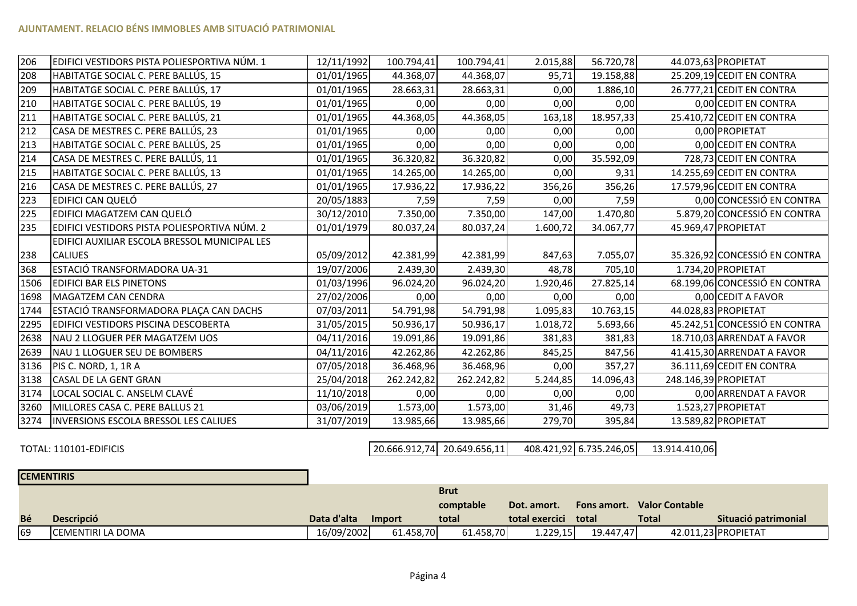| 206  | EDIFICI VESTIDORS PISTA POLIESPORTIVA NÚM. 1  | 12/11/1992 | 100.794,41 | 100.794,41 | 2.015,88 | 56.720,78 |                      | 44.073,63 PROPIETAT           |
|------|-----------------------------------------------|------------|------------|------------|----------|-----------|----------------------|-------------------------------|
| 208  | HABITATGE SOCIAL C. PERE BALLÚS, 15           | 01/01/1965 | 44.368,07  | 44.368,07  | 95,71    | 19.158,88 |                      | 25.209,19 CEDIT EN CONTRA     |
| 209  | HABITATGE SOCIAL C. PERE BALLÚS, 17           | 01/01/1965 | 28.663,31  | 28.663,31  | 0,00     | 1.886,10  |                      | 26.777,21 CEDIT EN CONTRA     |
| 210  | HABITATGE SOCIAL C. PERE BALLÚS, 19           | 01/01/1965 | 0,00       | 0,00       | 0,00     | 0,00      |                      | 0,00 CEDIT EN CONTRA          |
| 211  | HABITATGE SOCIAL C. PERE BALLÚS, 21           | 01/01/1965 | 44.368,05  | 44.368,05  | 163,18   | 18.957,33 |                      | 25.410,72 CEDIT EN CONTRA     |
| 212  | CASA DE MESTRES C. PERE BALLÚS, 23            | 01/01/1965 | 0,00       | 0,00       | 0,00     | 0,00      |                      | 0,00 PROPIETAT                |
| 213  | HABITATGE SOCIAL C. PERE BALLÚS, 25           | 01/01/1965 | 0,00       | 0,00       | 0,00     | 0,00      |                      | 0,00 CEDIT EN CONTRA          |
| 214  | CASA DE MESTRES C. PERE BALLÚS, 11            | 01/01/1965 | 36.320,82  | 36.320,82  | 0,00     | 35.592,09 |                      | 728,73 CEDIT EN CONTRA        |
| 215  | HABITATGE SOCIAL C. PERE BALLÚS, 13           | 01/01/1965 | 14.265,00  | 14.265,00  | 0,00     | 9,31      |                      | 14.255,69 CEDIT EN CONTRA     |
| 216  | CASA DE MESTRES C. PERE BALLÚS, 27            | 01/01/1965 | 17.936,22  | 17.936,22  | 356,26   | 356,26    |                      | 17.579,96 CEDIT EN CONTRA     |
| 223  | EDIFICI CAN QUELÓ                             | 20/05/1883 | 7,59       | 7,59       | 0,00     | 7,59      |                      | 0,00 CONCESSIÓ EN CONTRA      |
| 225  | EDIFICI MAGATZEM CAN QUELÓ                    | 30/12/2010 | 7.350,00   | 7.350,00   | 147,00   | 1.470,80  |                      | 5.879,20 CONCESSIÓ EN CONTRA  |
| 235  | EDIFICI VESTIDORS PISTA POLIESPORTIVA NÚM. 2  | 01/01/1979 | 80.037,24  | 80.037,24  | 1.600,72 | 34.067,77 |                      | 45.969,47 PROPIETAT           |
|      | EDIFICI AUXILIAR ESCOLA BRESSOL MUNICIPAL LES |            |            |            |          |           |                      |                               |
| 238  | <b>CALIUES</b>                                | 05/09/2012 | 42.381,99  | 42.381,99  | 847,63   | 7.055,07  |                      | 35.326,92 CONCESSIÓ EN CONTRA |
| 368  | ESTACIÓ TRANSFORMADORA UA-31                  | 19/07/2006 | 2.439,30   | 2.439,30   | 48,78    | 705,10    |                      | 1.734,20 PROPIETAT            |
| 1506 | <b>EDIFICI BAR ELS PINETONS</b>               | 01/03/1996 | 96.024,20  | 96.024,20  | 1.920,46 | 27.825,14 |                      | 68.199,06 CONCESSIÓ EN CONTRA |
| 1698 | MAGATZEM CAN CENDRA                           | 27/02/2006 | 0,00       | 0,00       | 0,00     | 0,00      |                      | 0,00 CEDIT A FAVOR            |
| 1744 | ESTACIÓ TRANSFORMADORA PLAÇA CAN DACHS        | 07/03/2011 | 54.791,98  | 54.791,98  | 1.095,83 | 10.763,15 |                      | 44.028,83 PROPIETAT           |
| 2295 | EDIFICI VESTIDORS PISCINA DESCOBERTA          | 31/05/2015 | 50.936,17  | 50.936,17  | 1.018,72 | 5.693,66  |                      | 45.242,51 CONCESSIÓ EN CONTRA |
| 2638 | NAU 2 LLOGUER PER MAGATZEM UOS                | 04/11/2016 | 19.091,86  | 19.091,86  | 381,83   | 381,83    |                      | 18.710,03 ARRENDAT A FAVOR    |
| 2639 | NAU 1 LLOGUER SEU DE BOMBERS                  | 04/11/2016 | 42.262,86  | 42.262,86  | 845,25   | 847,56    |                      | 41.415,30 ARRENDAT A FAVOR    |
| 3136 | PIS C. NORD, 1, 1R A                          | 07/05/2018 | 36.468,96  | 36.468,96  | 0,00     | 357,27    |                      | 36.111,69 CEDIT EN CONTRA     |
| 3138 | <b>CASAL DE LA GENT GRAN</b>                  | 25/04/2018 | 262.242,82 | 262.242,82 | 5.244,85 | 14.096,43 | 248.146,39 PROPIETAT |                               |
| 3174 | LOCAL SOCIAL C. ANSELM CLAVÉ                  | 11/10/2018 | 0,00       | 0,00       | 0,00     | 0,00      |                      | 0,00 ARRENDAT A FAVOR         |
| 3260 | MILLORES CASA C. PERE BALLUS 21               | 03/06/2019 | 1.573,00   | 1.573,00   | 31,46    | 49,73     |                      | 1.523,27 PROPIETAT            |
| 3274 | <b>INVERSIONS ESCOLA BRESSOL LES CALIUES</b>  | 31/07/2019 | 13.985,66  | 13.985,66  | 279,70   | 395,84    |                      | 13.589,82 PROPIETAT           |

TOTAL: 110101-EDIFICIS

20.666.912,74 20.649.656,11 20.649.656,11 408.421,92 6.735.246,05 13.914.410,06

| <b>CEMENTIRIS</b> |                    |             |           |             |                |             |                       |                      |
|-------------------|--------------------|-------------|-----------|-------------|----------------|-------------|-----------------------|----------------------|
|                   |                    |             |           | <b>Brut</b> |                |             |                       |                      |
|                   |                    |             |           | comptable   | Dot. amort.    | Fons amort. | <b>Valor Contable</b> |                      |
| Bé                | <b>Descripció</b>  | Data d'alta | Import    | total       | total exercici | total       | Total                 | Situació patrimonial |
| 69                | ICEMENTIRI LA DOMA | 16/09/2002  | 61.458,70 | 61.458,70   | 1.229.15       | 19.447.47   |                       | 42.011,23 PROPIETAT  |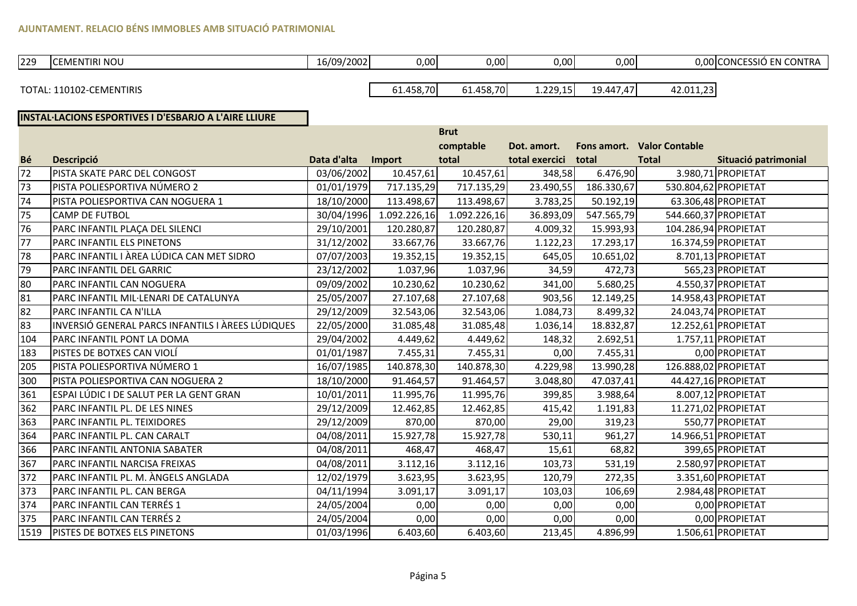# **AJUNTAMENT. RELACIO BÉNS IMMOBLES AMB SITUACIÓ PATRIMONIAL**

| 229 | <b>CEMENTIRI NOU</b><br>$\sim$ $\sim$ $\sim$ $\sim$ | 16/09/2002 | 0.00 | 0,00 | 0,00 | 0,00 | 0.00 CONCESSIÓ EN CON<br>$\cdots$<br>١ĸ |
|-----|-----------------------------------------------------|------------|------|------|------|------|-----------------------------------------|
|     |                                                     |            |      |      |      |      |                                         |

TOTAL: 110102-CEMENTIRIS

 61.458,7061.458,70 1.229,15 19.447,47 42.011,23

### **INSTAL·LACIONS ESPORTIVES I D'ESBARJO A L'AIRE LLIURE**

|      |                                                   |             |              | <b>Brut</b>  |                |             |                       |                      |
|------|---------------------------------------------------|-------------|--------------|--------------|----------------|-------------|-----------------------|----------------------|
|      |                                                   |             |              | comptable    | Dot. amort.    | Fons amort. | <b>Valor Contable</b> |                      |
| Bé   | <b>Descripció</b>                                 | Data d'alta | Import       | total        | total exercici | total       | <b>Total</b>          | Situació patrimonial |
| 72   | PISTA SKATE PARC DEL CONGOST                      | 03/06/2002  | 10.457,61    | 10.457,61    | 348,58         | 6.476,90    |                       | 3.980,71 PROPIETAT   |
| 73   | PISTA POLIESPORTIVA NÚMERO 2                      | 01/01/1979  | 717.135,29   | 717.135,29   | 23.490,55      | 186.330,67  |                       | 530.804,62 PROPIETAT |
| 74   | PISTA POLIESPORTIVA CAN NOGUERA 1                 | 18/10/2000  | 113.498,67   | 113.498,67   | 3.783,25       | 50.192,19   |                       | 63.306,48 PROPIETAT  |
| 75   | <b>CAMP DE FUTBOL</b>                             | 30/04/1996  | 1.092.226,16 | 1.092.226,16 | 36.893,09      | 547.565,79  |                       | 544.660,37 PROPIETAT |
| 76   | PARC INFANTIL PLAÇA DEL SILENCI                   | 29/10/2001  | 120.280,87   | 120.280,87   | 4.009,32       | 15.993,93   |                       | 104.286,94 PROPIETAT |
| 77   | PARC INFANTIL ELS PINETONS                        | 31/12/2002  | 33.667,76    | 33.667,76    | 1.122,23       | 17.293,17   |                       | 16.374,59 PROPIETAT  |
| 78   | PARC INFANTIL I ÀREA LÚDICA CAN MET SIDRO         | 07/07/2003  | 19.352,15    | 19.352,15    | 645,05         | 10.651,02   |                       | 8.701,13 PROPIETAT   |
| 79   | PARC INFANTIL DEL GARRIC                          | 23/12/2002  | 1.037,96     | 1.037,96     | 34,59          | 472,73      |                       | 565,23 PROPIETAT     |
| 80   | PARC INFANTIL CAN NOGUERA                         | 09/09/2002  | 10.230,62    | 10.230,62    | 341,00         | 5.680,25    |                       | 4.550,37 PROPIETAT   |
| 81   | PARC INFANTIL MIL·LENARI DE CATALUNYA             | 25/05/2007  | 27.107,68    | 27.107,68    | 903,56         | 12.149,25   |                       | 14.958,43 PROPIETAT  |
| 82   | PARC INFANTIL CA N'ILLA                           | 29/12/2009  | 32.543,06    | 32.543,06    | 1.084,73       | 8.499,32    |                       | 24.043,74 PROPIETAT  |
| 83   | INVERSIÓ GENERAL PARCS INFANTILS I ÀREES LÚDIQUES | 22/05/2000  | 31.085,48    | 31.085,48    | 1.036,14       | 18.832,87   |                       | 12.252,61 PROPIETAT  |
| 104  | PARC INFANTIL PONT LA DOMA                        | 29/04/2002  | 4.449,62     | 4.449,62     | 148,32         | 2.692,51    |                       | 1.757,11 PROPIETAT   |
| 183  | PISTES DE BOTXES CAN VIOLÍ                        | 01/01/1987  | 7.455,31     | 7.455,31     | 0,00           | 7.455,31    |                       | 0,00 PROPIETAT       |
| 205  | PISTA POLIESPORTIVA NÚMERO 1                      | 16/07/1985  | 140.878,30   | 140.878,30   | 4.229,98       | 13.990,28   |                       | 126.888,02 PROPIETAT |
| 300  | PISTA POLIESPORTIVA CAN NOGUERA 2                 | 18/10/2000  | 91.464,57    | 91.464,57    | 3.048,80       | 47.037,41   |                       | 44.427,16 PROPIETAT  |
| 361  | ESPAI LÚDIC I DE SALUT PER LA GENT GRAN           | 10/01/2011  | 11.995,76    | 11.995,76    | 399,85         | 3.988,64    |                       | 8.007,12 PROPIETAT   |
| 362  | PARC INFANTIL PL. DE LES NINES                    | 29/12/2009  | 12.462,85    | 12.462,85    | 415,42         | 1.191,83    |                       | 11.271,02 PROPIETAT  |
| 363  | PARC INFANTIL PL. TEIXIDORES                      | 29/12/2009  | 870,00       | 870,00       | 29,00          | 319,23      |                       | 550,77 PROPIETAT     |
| 364  | PARC INFANTIL PL. CAN CARALT                      | 04/08/2011  | 15.927,78    | 15.927,78    | 530,11         | 961,27      |                       | 14.966,51 PROPIETAT  |
| 366  | PARC INFANTIL ANTONIA SABATER                     | 04/08/2011  | 468,47       | 468,47       | 15,61          | 68,82       |                       | 399,65 PROPIETAT     |
| 367  | PARC INFANTIL NARCISA FREIXAS                     | 04/08/2011  | 3.112,16     | 3.112,16     | 103,73         | 531,19      |                       | 2.580,97 PROPIETAT   |
| 372  | PARC INFANTIL PL. M. ANGELS ANGLADA               | 12/02/1979  | 3.623,95     | 3.623,95     | 120,79         | 272,35      |                       | 3.351,60 PROPIETAT   |
| 373  | PARC INFANTIL PL. CAN BERGA                       | 04/11/1994  | 3.091,17     | 3.091,17     | 103,03         | 106,69      |                       | 2.984,48 PROPIETAT   |
| 374  | PARC INFANTIL CAN TERRÉS 1                        | 24/05/2004  | 0,00         | 0,00         | 0,00           | 0,00        |                       | 0,00 PROPIETAT       |
| 375  | PARC INFANTIL CAN TERRÉS 2                        | 24/05/2004  | 0,00         | 0,00         | 0,00           | 0,00        |                       | 0,00 PROPIETAT       |
| 1519 | <b>PISTES DE BOTXES ELS PINETONS</b>              | 01/03/1996  | 6.403,60     | 6.403,60     | 213,45         | 4.896,99    |                       | 1.506,61 PROPIETAT   |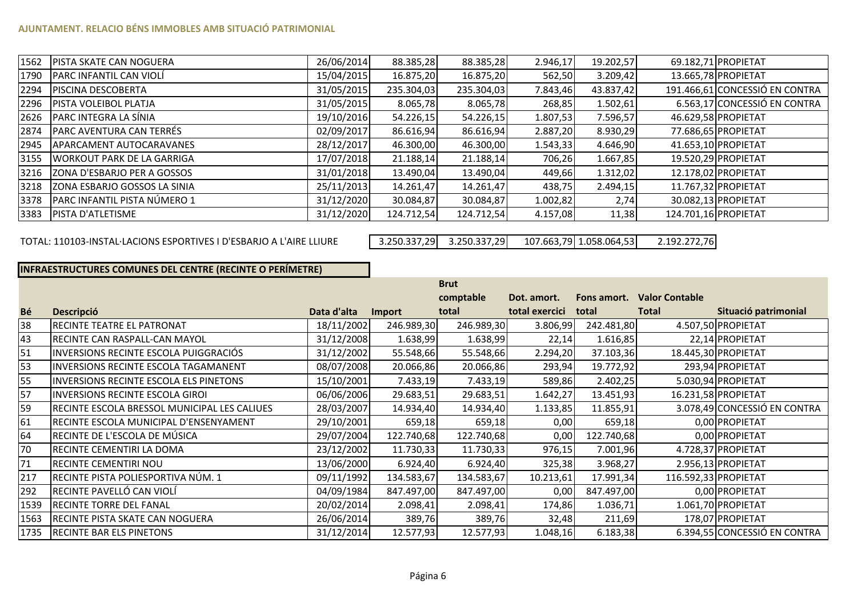### **AJUNTAMENT. RELACIO BÉNS IMMOBLES AMB SITUACIÓ PATRIMONIAL**

| 1562 | <b>PISTA SKATE CAN NOGUERA</b>    | 26/06/2014 | 88.385,28  | 88.385,28  | 2.946,17 | 19.202,57 |                      | 69.182,71 PROPIETAT            |
|------|-----------------------------------|------------|------------|------------|----------|-----------|----------------------|--------------------------------|
| 1790 | PARC INFANTIL CAN VIOLÍ           | 15/04/2015 | 16.875,20  | 16.875,20  | 562,50   | 3.209,42  |                      | 13.665,78 PROPIETAT            |
| 2294 | <b>PISCINA DESCOBERTA</b>         | 31/05/2015 | 235.304,03 | 235.304,03 | 7.843,46 | 43.837,42 |                      | 191.466,61 CONCESSIÓ EN CONTRA |
| 2296 | PISTA VOLEIBOL PLATJA             | 31/05/2015 | 8.065,78   | 8.065,78   | 268,85   | 1.502,61  |                      | 6.563,17 CONCESSIÓ EN CONTRA   |
| 2626 | PARC INTEGRA LA SÍNIA             | 19/10/2016 | 54.226,15  | 54.226,15  | 1.807,53 | 7.596,57  |                      | 46.629,58 PROPIETAT            |
| 2874 | PARC AVENTURA CAN TERRÉS          | 02/09/2017 | 86.616,94  | 86.616,94  | 2.887,20 | 8.930,29  |                      | 77.686,65 PROPIETAT            |
| 2945 | APARCAMENT AUTOCARAVANES          | 28/12/2017 | 46.300,00  | 46.300,00  | 1.543,33 | 4.646,90  |                      | 41.653,10 PROPIETAT            |
| 3155 | <b>WORKOUT PARK DE LA GARRIGA</b> | 17/07/2018 | 21.188,14  | 21.188,14  | 706,26   | 1.667,85  |                      | 19.520,29 PROPIETAT            |
| 3216 | ZONA D'ESBARJO PER A GOSSOS       | 31/01/2018 | 13.490,04  | 13.490,04  | 449,66   | 1.312,02  |                      | 12.178,02 PROPIETAT            |
| 3218 | ZONA ESBARJO GOSSOS LA SINIA      | 25/11/2013 | 14.261,47  | 14.261,47  | 438,75   | 2.494,15  |                      | 11.767,32 PROPIETAT            |
| 3378 | PARC INFANTIL PISTA NÚMERO 1      | 31/12/2020 | 30.084,87  | 30.084,87  | 1.002,82 | 2,74      |                      | 30.082,13 PROPIETAT            |
| 3383 | <b>PISTA D'ATLETISME</b>          | 31/12/2020 | 124.712,54 | 124.712,54 | 4.157,08 | 11,38     | 124.701,16 PROPIETAT |                                |

#### TOTAL: 110103-INSTAL·LACIONS ESPORTIVES I D'ESBARJO A L'AIRE LLIURE

 3.250.337,293.250.337,29 107.663,79 1.058.064,53 2.192.272,76

# **INFRAESTRUCTURES COMUNES DEL CENTRE (RECINTE O PERÍMETRE)**

|           |                                               |             |            | <b>Brut</b> |                |             |                       |                              |
|-----------|-----------------------------------------------|-------------|------------|-------------|----------------|-------------|-----------------------|------------------------------|
|           |                                               |             |            | comptable   | Dot. amort.    | Fons amort. | <b>Valor Contable</b> |                              |
| <b>Bé</b> | <b>Descripció</b>                             | Data d'alta | Import     | total       | total exercici | total       | <b>Total</b>          | Situació patrimonial         |
| 38        | <b>RECINTE TEATRE EL PATRONAT</b>             | 18/11/2002  | 246.989,30 | 246.989,30  | 3.806,99       | 242.481,80  |                       | 4.507,50 PROPIETAT           |
| 43        | <b>RECINTE CAN RASPALL-CAN MAYOL</b>          | 31/12/2008  | 1.638,99   | 1.638,99    | 22,14          | 1.616,85    |                       | 22,14 PROPIETAT              |
| 51        | INVERSIONS RECINTE ESCOLA PUIGGRACIÓS         | 31/12/2002  | 55.548,66  | 55.548,66   | 2.294,20       | 37.103,36   |                       | 18.445,30 PROPIETAT          |
| 53        | <b>INVERSIONS RECINTE ESCOLA TAGAMANENT</b>   | 08/07/2008  | 20.066,86  | 20.066,86   | 293,94         | 19.772,92   |                       | 293,94 PROPIETAT             |
| 55        | <b>INVERSIONS RECINTE ESCOLA ELS PINETONS</b> | 15/10/2001  | 7.433,19   | 7.433,19    | 589,86         | 2.402,25    |                       | 5.030,94 PROPIETAT           |
| 57        | <b>INVERSIONS RECINTE ESCOLA GIROI</b>        | 06/06/2006  | 29.683,51  | 29.683,51   | 1.642,27       | 13.451,93   |                       | 16.231,58 PROPIETAT          |
| 59        | RECINTE ESCOLA BRESSOL MUNICIPAL LES CALIUES  | 28/03/2007  | 14.934,40  | 14.934,40   | 1.133,85       | 11.855,91   |                       | 3.078,49 CONCESSIÓ EN CONTRA |
| 61        | RECINTE ESCOLA MUNICIPAL D'ENSENYAMENT        | 29/10/2001  | 659,18     | 659,18      | 0,00           | 659,18      |                       | 0,00 PROPIETAT               |
| 64        | RECINTE DE L'ESCOLA DE MÚSICA                 | 29/07/2004  | 122.740,68 | 122.740,68  | 0,00           | 122.740,68  |                       | 0,00 PROPIETAT               |
| 70        | RECINTE CEMENTIRI LA DOMA                     | 23/12/2002  | 11.730,33  | 11.730,33   | 976,15         | 7.001,96    |                       | 4.728,37 PROPIETAT           |
| 71        | <b>RECINTE CEMENTIRI NOU</b>                  | 13/06/2000  | 6.924,40   | 6.924,40    | 325,38         | 3.968,27    |                       | 2.956,13 PROPIETAT           |
| 217       | RECINTE PISTA POLIESPORTIVA NÚM. 1            | 09/11/1992  | 134.583,67 | 134.583,67  | 10.213,61      | 17.991,34   |                       | 116.592,33 PROPIETAT         |
| 292       | RECINTE PAVELLÓ CAN VIOLÍ                     | 04/09/1984  | 847.497,00 | 847.497,00  | 0,00           | 847.497,00  |                       | 0,00 PROPIETAT               |
| 1539      | <b>RECINTE TORRE DEL FANAL</b>                | 20/02/2014  | 2.098,41   | 2.098,41    | 174,86         | 1.036,71    |                       | 1.061,70 PROPIETAT           |
| 1563      | <b>IRECINTE PISTA SKATE CAN NOGUERA</b>       | 26/06/2014  | 389,76     | 389,76      | 32,48          | 211,69      |                       | 178,07 PROPIETAT             |
|           | 1735 RECINTE BAR ELS PINETONS                 | 31/12/2014  | 12.577,93  | 12.577,93   | 1.048,16       | 6.183,38    |                       | 6.394,55 CONCESSIÓ EN CONTRA |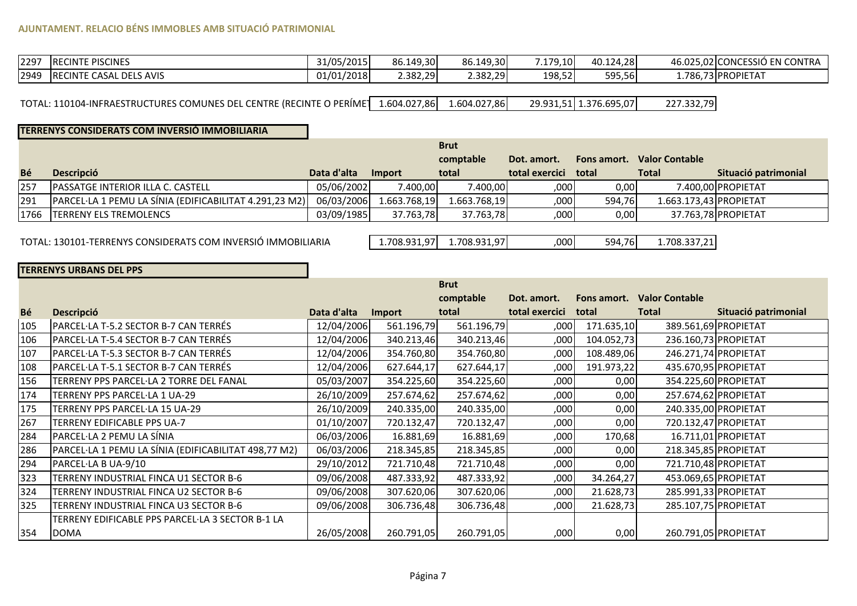# **AJUNTAMENT. RELACIO BÉNS IMMOBLES AMB SITUACIÓ PATRIMONIAL**

| 2297 | <b>IRECINTE PISCINES</b>        | 31/05/2015 | 86.149,30 | 86.149,30 | 7.179.10 | 40.124.28 | 46.025.02lCONCESSIÓ EN CONTRA |
|------|---------------------------------|------------|-----------|-----------|----------|-----------|-------------------------------|
| 2949 | <b>IRECINTE CASAL DELS AVIS</b> | 01/01/2018 | 2.382,29  | 2.382,29  | 198,52   | 595,56    | 1.786,73 PROPIETAT            |

TOTAL: 110104-INFRAESTRUCTURES COMUNES DEL CENTRE (RECINTE O PERÍMET 1.604.027,86 1.604.027,86 29.931,51 1.376.695,07 227.332,79

### **TERRENYS CONSIDERATS COM INVERSIÓ IMMOBILIARIA**

|           |                                                        |             |              | <b>Brut</b>  |                      |        |                                   |                      |
|-----------|--------------------------------------------------------|-------------|--------------|--------------|----------------------|--------|-----------------------------------|----------------------|
|           |                                                        |             |              | comptable    | Dot. amort.          |        | <b>Fons amort. Valor Contable</b> |                      |
| <b>Bé</b> | <b>Descripció</b>                                      | Data d'alta | Import       | total        | total exercici total |        | <b>Total</b>                      | Situació patrimonial |
| 257       | <b>IPASSATGE INTERIOR ILLA C. CASTELL</b>              | 05/06/2002  | 7.400.00     | 7.400.00     | ,000                 | 0,00   |                                   | 7.400.00 PROPIETAT   |
| 291       | PARCEL·LA 1 PEMU LA SÍNIA (EDIFICABILITAT 4.291,23 M2) | 06/03/2006  | 1.663.768.19 | 1.663.768.19 | 000                  | 594.76 | 1.663.173,43 PROPIETAT            |                      |
|           | 1766   TERRENY ELS TREMOLENCS                          | 03/09/1985  | 37.763.78    | 37.763.78    | ,000                 | 0,00   |                                   | 37.763,78 PROPIETAT  |

TOTAL: 130101-TERRENYS CONSIDERATS COM INVERSIÓ IMMOBILIARIA

1.708.931,97 1.708.931,97 ,<sup>000</sup> 594,76 1.708.337,21

# **TERRENYS URBANS DEL PPS**

|     |                                                      |             |               | <b>Brut</b> |                |             |                       |                      |
|-----|------------------------------------------------------|-------------|---------------|-------------|----------------|-------------|-----------------------|----------------------|
|     |                                                      |             |               | comptable   | Dot. amort.    | Fons amort. | <b>Valor Contable</b> |                      |
| Bé  | <b>Descripció</b>                                    | Data d'alta | <b>Import</b> | total       | total exercici | total       | <b>Total</b>          | Situació patrimonial |
| 105 | PARCEL·LA T-5.2 SECTOR B-7 CAN TERRÉS                | 12/04/2006  | 561.196,79    | 561.196,79  | ,000           | 171.635,10  |                       | 389.561,69 PROPIETAT |
| 106 | PARCEL·LA T-5.4 SECTOR B-7 CAN TERRÉS                | 12/04/2006  | 340.213,46    | 340.213,46  | ,000           | 104.052,73  | 236.160,73 PROPIETAT  |                      |
| 107 | PARCEL·LA T-5.3 SECTOR B-7 CAN TERRÉS                | 12/04/2006  | 354.760,80    | 354.760,80  | ,000           | 108.489,06  | 246.271,74 PROPIETAT  |                      |
| 108 | PARCEL·LA T-5.1 SECTOR B-7 CAN TERRÉS                | 12/04/2006  | 627.644,17    | 627.644,17  | ,000           | 191.973,22  | 435.670,95 PROPIETAT  |                      |
| 156 | TERRENY PPS PARCEL·LA 2 TORRE DEL FANAL              | 05/03/2007  | 354.225,60    | 354.225,60  | ,000           | 0,00        |                       | 354.225,60 PROPIETAT |
| 174 | TERRENY PPS PARCEL·LA 1 UA-29                        | 26/10/2009  | 257.674,62    | 257.674,62  | ,000           | 0,00        | 257.674,62 PROPIETAT  |                      |
| 175 | TERRENY PPS PARCEL·LA 15 UA-29                       | 26/10/2009  | 240.335,00    | 240.335,00  | ,000           | 0,00        | 240.335,00 PROPIETAT  |                      |
| 267 | TERRENY EDIFICABLE PPS UA-7                          | 01/10/2007  | 720.132,47    | 720.132,47  | ,000           | 0,00        |                       | 720.132,47 PROPIETAT |
| 284 | PARCEL·LA 2 PEMU LA SÍNIA                            | 06/03/2006  | 16.881,69     | 16.881,69   | ,000           | 170,68      |                       | 16.711,01 PROPIETAT  |
| 286 | PARCEL·LA 1 PEMU LA SÍNIA (EDIFICABILITAT 498,77 M2) | 06/03/2006  | 218.345,85    | 218.345,85  | ,000           | 0,00        | 218.345,85 PROPIETAT  |                      |
| 294 | PARCEL·LA B UA-9/10                                  | 29/10/2012  | 721.710,48    | 721.710,48  | ,000           | 0,00        |                       | 721.710,48 PROPIETAT |
| 323 | TERRENY INDUSTRIAL FINCA U1 SECTOR B-6               | 09/06/2008  | 487.333,92    | 487.333,92  | ,000           | 34.264,27   | 453.069,65 PROPIETAT  |                      |
| 324 | TERRENY INDUSTRIAL FINCA U2 SECTOR B-6               | 09/06/2008  | 307.620,06    | 307.620,06  | ,000           | 21.628,73   | 285.991,33 PROPIETAT  |                      |
| 325 | TERRENY INDUSTRIAL FINCA U3 SECTOR B-6               | 09/06/2008  | 306.736,48    | 306.736,48  | ,000           | 21.628,73   | 285.107,75 PROPIETAT  |                      |
|     | TERRENY EDIFICABLE PPS PARCEL·LA 3 SECTOR B-1 LA     |             |               |             |                |             |                       |                      |
| 354 | <b>DOMA</b>                                          | 26/05/2008  | 260.791,05    | 260.791,05  | ,000           | 0,00        | 260.791,05 PROPIETAT  |                      |